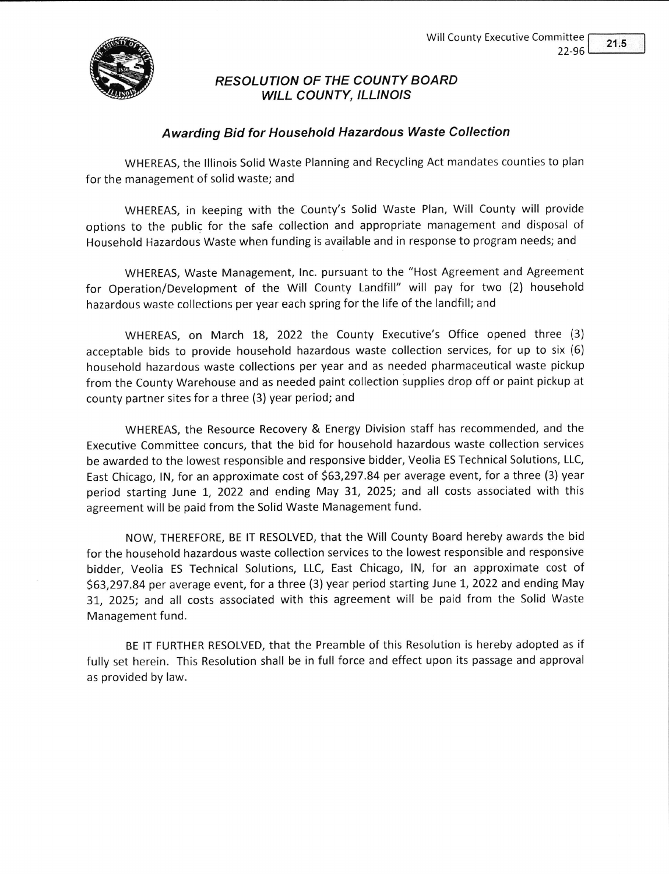

RESOLUTION OF THE COUNTY BOARD WILL COUNTY, ILLINOIS

## Awarding Bid for Household Hazardous Waste Collection

WHEREAS, the lllinois Solid Waste Planning and Recycling Act mandates counties to plan for the management of solid waste; and

WHEREAS, in keeping with the County's Solid Waste Plan, Will County will provide options to the public for the safe collection and appropriate management and disposal of Household Hazardous Waste when funding is available and in response to program needs; and

WHEREAS, Waste Management, lnc. pursuant to the "Host Agreement and Agreement for Operation/Development of the Will County Landfill" will pay for two (2) household hazardous waste collections per year each spring for the life of the landfill; and

WHEREAS, on March 18, 2022 the County Executive's Office opened three (3) acceptable bids to provide household hazardous waste collection services, for up to six (6) household hazardous waste collections per year and as needed pharmaceutical waste pickup from the County Warehouse and as needed paint collection supplies drop off or paint pickup at county partner sites for a three (3) year period; and

WHEREAS, the Resource Recovery & Energy Division staff has recommended, and the Executive Committee concurs, that the bid for household hazardous waste collection services be awarded to the lowest responsible and responsive bidder, Veolia ES Technical Solutions, LLC, East Chicago, lN, for an approximate cost of 563,297.84 per average event, for a three (3) year period starting June 1, 2022 and ending May 31, 2025; and all costs associated with this agreement will be paid from the Solid Waste Management fund.

NOW, THEREFORE, BE lT RESOLVED, that the Will County Board hereby awards the bid for the household hazardous waste collection services to the lowest responsible and responsive bidder, Veolia ES Technical Solutions, LLC, East Chicago, lN, for an approximate cost of 563,297.84 per average event, for a three (3)year period starting June 1, 2022and ending May 3L, 2025; and all costs associated with this agreement will be paid from the Solid Waste Management fund.

BE tT FURTHER RESOLVED, that the Preamble of this Resolution is hereby adopted as if fully set herein. This Resolution shall be in full force and effect upon its passage and approval as provided by law.